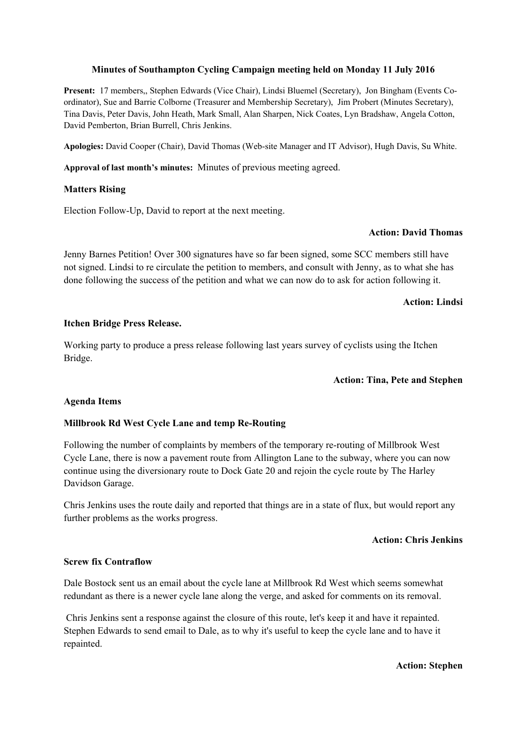## **Minutes of Southampton Cycling Campaign meeting held on Monday 11 July 2016**

**Present:** 17 members,, Stephen Edwards (Vice Chair), Lindsi Bluemel (Secretary), Jon Bingham (Events Coordinator), Sue and Barrie Colborne (Treasurer and Membership Secretary), Jim Probert (Minutes Secretary), Tina Davis, Peter Davis, John Heath, Mark Small, Alan Sharpen, Nick Coates, Lyn Bradshaw, Angela Cotton, David Pemberton, Brian Burrell, Chris Jenkins.

**Apologies:** David Cooper (Chair), David Thomas (Web-site Manager and IT Advisor), Hugh Davis, Su White.

**Approval of last month's minutes:** Minutes of previous meeting agreed.

## **Matters Rising**

Election Follow-Up, David to report at the next meeting.

### **Action: David Thomas**

Jenny Barnes Petition! Over 300 signatures have so far been signed, some SCC members still have not signed. Lindsi to re circulate the petition to members, and consult with Jenny, as to what she has done following the success of the petition and what we can now do to ask for action following it.

## **Action: Lindsi**

#### **Itchen Bridge Press Release.**

Working party to produce a press release following last years survey of cyclists using the Itchen Bridge.

## **Action: Tina, Pete and Stephen**

#### **Agenda Items**

# **Millbrook Rd West Cycle Lane and temp Re-Routing**

Following the number of complaints by members of the temporary re-routing of Millbrook West Cycle Lane, there is now a pavement route from Allington Lane to the subway, where you can now continue using the diversionary route to Dock Gate 20 and rejoin the cycle route by The Harley Davidson Garage.

Chris Jenkins uses the route daily and reported that things are in a state of flux, but would report any further problems as the works progress.

#### **Action: Chris Jenkins**

## **Screw fix Contraflow**

Dale Bostock sent us an email about the cycle lane at Millbrook Rd West which seems somewhat redundant as there is a newer cycle lane along the verge, and asked for comments on its removal.

 Chris Jenkins sent a response against the closure of this route, let's keep it and have it repainted. Stephen Edwards to send email to Dale, as to why it's useful to keep the cycle lane and to have it repainted.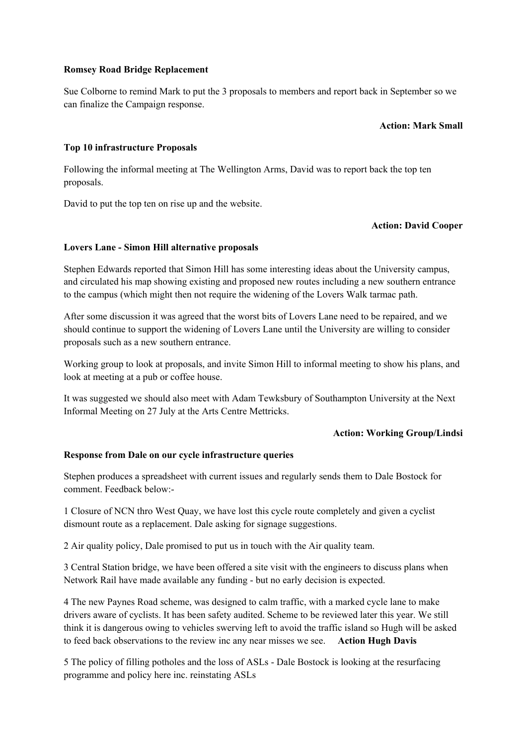## **Romsey Road Bridge Replacement**

Sue Colborne to remind Mark to put the 3 proposals to members and report back in September so we can finalize the Campaign response.

## **Action: Mark Small**

# **Top 10 infrastructure Proposals**

Following the informal meeting at The Wellington Arms, David was to report back the top ten proposals.

David to put the top ten on rise up and the website.

# **Action: David Cooper**

## **Lovers Lane - Simon Hill alternative proposals**

Stephen Edwards reported that Simon Hill has some interesting ideas about the University campus, and circulated his map showing existing and proposed new routes including a new southern entrance to the campus (which might then not require the widening of the Lovers Walk tarmac path.

After some discussion it was agreed that the worst bits of Lovers Lane need to be repaired, and we should continue to support the widening of Lovers Lane until the University are willing to consider proposals such as a new southern entrance.

Working group to look at proposals, and invite Simon Hill to informal meeting to show his plans, and look at meeting at a pub or coffee house.

It was suggested we should also meet with Adam Tewksbury of Southampton University at the Next Informal Meeting on 27 July at the Arts Centre Mettricks.

# **Action: Working Group/Lindsi**

# **Response from Dale on our cycle infrastructure queries**

Stephen produces a spreadsheet with current issues and regularly sends them to Dale Bostock for comment. Feedback below:-

1 Closure of NCN thro West Quay, we have lost this cycle route completely and given a cyclist dismount route as a replacement. Dale asking for signage suggestions.

2 Air quality policy, Dale promised to put us in touch with the Air quality team.

3 Central Station bridge, we have been offered a site visit with the engineers to discuss plans when Network Rail have made available any funding - but no early decision is expected.

4 The new Paynes Road scheme, was designed to calm traffic, with a marked cycle lane to make drivers aware of cyclists. It has been safety audited. Scheme to be reviewed later this year. We still think it is dangerous owing to vehicles swerving left to avoid the traffic island so Hugh will be asked to feed back observations to the review inc any near misses we see. **Action Hugh Davis**

5 The policy of filling potholes and the loss of ASLs - Dale Bostock is looking at the resurfacing programme and policy here inc. reinstating ASLs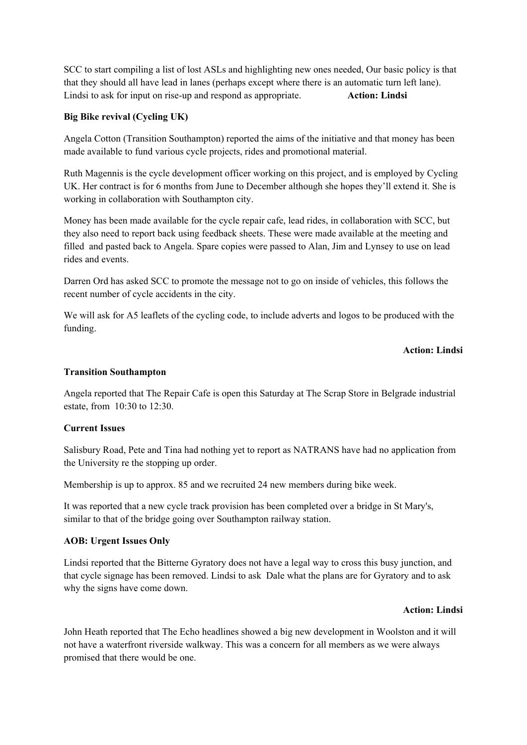SCC to start compiling a list of lost ASLs and highlighting new ones needed, Our basic policy is that that they should all have lead in lanes (perhaps except where there is an automatic turn left lane). Lindsi to ask for input on rise-up and respond as appropriate. **Action: Lindsi**

# **Big Bike revival (Cycling UK)**

Angela Cotton (Transition Southampton) reported the aims of the initiative and that money has been made available to fund various cycle projects, rides and promotional material.

Ruth Magennis is the cycle development officer working on this project, and is employed by Cycling UK. Her contract is for 6 months from June to December although she hopes they'll extend it. She is working in collaboration with Southampton city.

Money has been made available for the cycle repair cafe, lead rides, in collaboration with SCC, but they also need to report back using feedback sheets. These were made available at the meeting and filled and pasted back to Angela. Spare copies were passed to Alan, Jim and Lynsey to use on lead rides and events.

Darren Ord has asked SCC to promote the message not to go on inside of vehicles, this follows the recent number of cycle accidents in the city.

We will ask for A5 leaflets of the cycling code, to include adverts and logos to be produced with the funding.

## **Action: Lindsi**

### **Transition Southampton**

Angela reported that The Repair Cafe is open this Saturday at The Scrap Store in Belgrade industrial estate, from 10:30 to 12:30.

## **Current Issues**

Salisbury Road, Pete and Tina had nothing yet to report as NATRANS have had no application from the University re the stopping up order.

Membership is up to approx. 85 and we recruited 24 new members during bike week.

It was reported that a new cycle track provision has been completed over a bridge in St Mary's, similar to that of the bridge going over Southampton railway station.

#### **AOB: Urgent Issues Only**

Lindsi reported that the Bitterne Gyratory does not have a legal way to cross this busy junction, and that cycle signage has been removed. Lindsi to ask Dale what the plans are for Gyratory and to ask why the signs have come down.

#### **Action: Lindsi**

John Heath reported that The Echo headlines showed a big new development in Woolston and it will not have a waterfront riverside walkway. This was a concern for all members as we were always promised that there would be one.